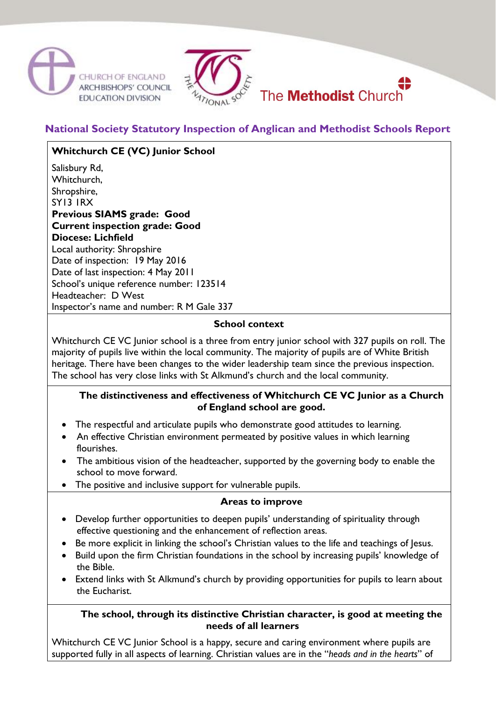



**National Society Statutory Inspection of Anglican and Methodist Schools Report**

**Whitchurch CE (VC) Junior School** Salisbury Rd, Whitchurch. Shropshire, SY13 1RX **Previous SIAMS grade: Good Current inspection grade: Good Diocese: Lichfield** Local authority: Shropshire Date of inspection: 19 May 2016 Date of last inspection: 4 May 2011 School's unique reference number: 123514 Headteacher: D West Inspector's name and number: R M Gale 337

# **School context**

Whitchurch CE VC Junior school is a three from entry junior school with 327 pupils on roll. The majority of pupils live within the local community. The majority of pupils are of White British heritage. There have been changes to the wider leadership team since the previous inspection. The school has very close links with St Alkmund's church and the local community.

## **The distinctiveness and effectiveness of Whitchurch CE VC Junior as a Church of England school are good.**

- The respectful and articulate pupils who demonstrate good attitudes to learning.
- An effective Christian environment permeated by positive values in which learning flourishes.
- The ambitious vision of the headteacher, supported by the governing body to enable the school to move forward.
- The positive and inclusive support for vulnerable pupils.

# **Areas to improve**

- Develop further opportunities to deepen pupils' understanding of spirituality through effective questioning and the enhancement of reflection areas.
- Be more explicit in linking the school's Christian values to the life and teachings of Jesus.
- Build upon the firm Christian foundations in the school by increasing pupils' knowledge of the Bible.
- Extend links with St Alkmund's church by providing opportunities for pupils to learn about the Eucharist.

## **The school, through its distinctive Christian character, is good at meeting the needs of all learners**

Whitchurch CE VC Junior School is a happy, secure and caring environment where pupils are supported fully in all aspects of learning. Christian values are in the "*heads and in the hearts*" of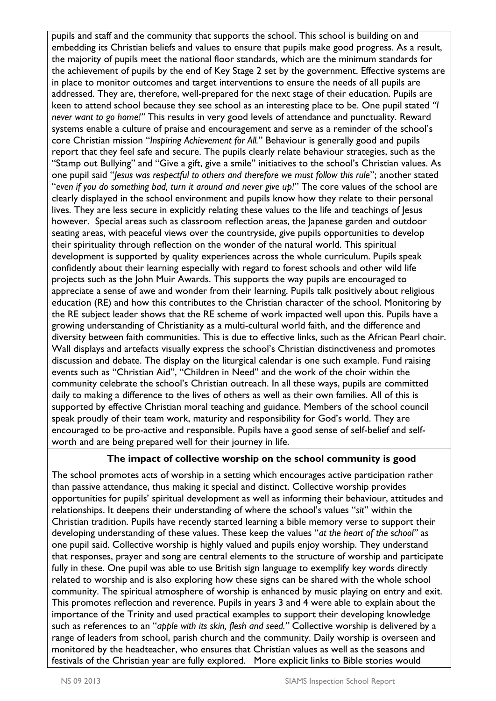pupils and staff and the community that supports the school. This school is building on and embedding its Christian beliefs and values to ensure that pupils make good progress. As a result, the majority of pupils meet the national floor standards, which are the minimum standards for the achievement of pupils by the end of Key Stage 2 set by the government. Effective systems are in place to monitor outcomes and target interventions to ensure the needs of all pupils are addressed. They are, therefore, well-prepared for the next stage of their education. Pupils are keen to attend school because they see school as an interesting place to be. One pupil stated *"I never want to go home!"* This results in very good levels of attendance and punctuality. Reward systems enable a culture of praise and encouragement and serve as a reminder of the school's core Christian mission "*Inspiring Achievement for All.*" Behaviour is generally good and pupils report that they feel safe and secure. The pupils clearly relate behaviour strategies, such as the "Stamp out Bullying" and "Give a gift, give a smile" initiatives to the school's Christian values. As one pupil said "*Jesus was respectful to others and therefore we must follow this rule*"; another stated "*even if you do something bad, turn it around and never give up!*" The core values of the school are clearly displayed in the school environment and pupils know how they relate to their personal lives. They are less secure in explicitly relating these values to the life and teachings of Jesus however. Special areas such as classroom reflection areas, the Japanese garden and outdoor seating areas, with peaceful views over the countryside, give pupils opportunities to develop their spirituality through reflection on the wonder of the natural world. This spiritual development is supported by quality experiences across the whole curriculum. Pupils speak confidently about their learning especially with regard to forest schools and other wild life projects such as the John Muir Awards. This supports the way pupils are encouraged to appreciate a sense of awe and wonder from their learning. Pupils talk positively about religious education (RE) and how this contributes to the Christian character of the school. Monitoring by the RE subject leader shows that the RE scheme of work impacted well upon this. Pupils have a growing understanding of Christianity as a multi-cultural world faith, and the difference and diversity between faith communities. This is due to effective links, such as the African Pearl choir. Wall displays and artefacts visually express the school's Christian distinctiveness and promotes discussion and debate. The display on the liturgical calendar is one such example. Fund raising events such as "Christian Aid", "Children in Need" and the work of the choir within the community celebrate the school's Christian outreach. In all these ways, pupils are committed daily to making a difference to the lives of others as well as their own families. All of this is supported by effective Christian moral teaching and guidance. Members of the school council speak proudly of their team work, maturity and responsibility for God's world. They are encouraged to be pro-active and responsible. Pupils have a good sense of self-belief and selfworth and are being prepared well for their journey in life.

# **The impact of collective worship on the school community is good**

The school promotes acts of worship in a setting which encourages active participation rather than passive attendance, thus making it special and distinct. Collective worship provides opportunities for pupils' spiritual development as well as informing their behaviour, attitudes and relationships. It deepens their understanding of where the school's values "*sit*" within the Christian tradition. Pupils have recently started learning a bible memory verse to support their developing understanding of these values. These keep the values "*at the heart of the school"* as one pupil said. Collective worship is highly valued and pupils enjoy worship. They understand that responses, prayer and song are central elements to the structure of worship and participate fully in these. One pupil was able to use British sign language to exemplify key words directly related to worship and is also exploring how these signs can be shared with the whole school community. The spiritual atmosphere of worship is enhanced by music playing on entry and exit. This promotes reflection and reverence. Pupils in years 3 and 4 were able to explain about the importance of the Trinity and used practical examples to support their developing knowledge such as references to an "*apple with its skin, flesh and seed."* Collective worship is delivered by a range of leaders from school, parish church and the community. Daily worship is overseen and monitored by the headteacher, who ensures that Christian values as well as the seasons and festivals of the Christian year are fully explored. More explicit links to Bible stories would